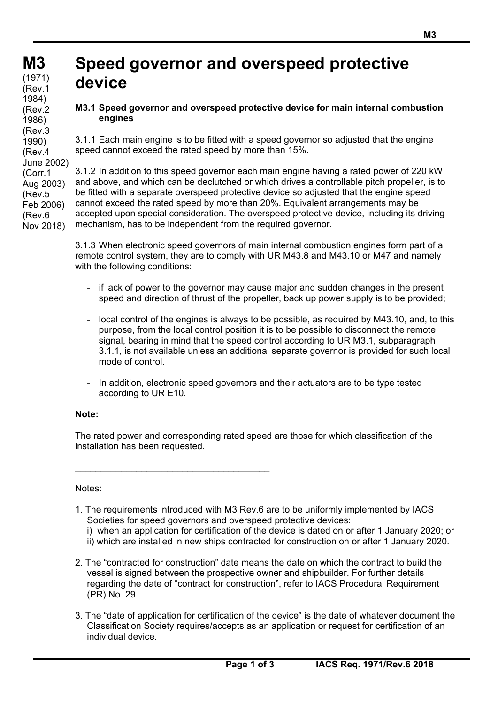(Corr.1

(Rev.5

(Rev.6

# **Speed governor and overspeed protective device**

### **M3.1 Speed governor and overspeed protective device for main internal combustion engines**

3.1.1 Each main engine is to be fitted with a speed governor so adjusted that the engine speed cannot exceed the rated speed by more than 15%.

3.1.2 In addition to this speed governor each main engine having a rated power of 220 kW and above, and which can be declutched or which drives a controllable pitch propeller, is to be fitted with a separate overspeed protective device so adjusted that the engine speed cannot exceed the rated speed by more than 20%. Equivalent arrangements may be accepted upon special consideration. The overspeed protective device, including its driving mechanism, has to be independent from the required governor. Aug 2003) Feb 2006) Nov 2018)

> 3.1.3 When electronic speed governors of main internal combustion engines form part of a remote control system, they are to comply with UR M43.8 and M43.10 or M47 and namely with the following conditions:

- if lack of power to the governor may cause major and sudden changes in the present speed and direction of thrust of the propeller, back up power supply is to be provided;
- local control of the engines is always to be possible, as required by M43.10, and, to this purpose, from the local control position it is to be possible to disconnect the remote signal, bearing in mind that the speed control according to UR M3.1, subparagraph 3.1.1, is not available unless an additional separate governor is provided for such local mode of control.
- In addition, electronic speed governors and their actuators are to be type tested according to UR E10.

#### **Note:**

The rated power and corresponding rated speed are those for which classification of the installation has been requested.

#### Notes:

 $\overline{a}$ 

- 1. The requirements introduced with M3 Rev.6 are to be uniformly implemented by IACS Societies for speed governors and overspeed protective devices: i) when an application for certification of the device is dated on or after 1 January 2020; or
	- ii) which are installed in new ships contracted for construction on or after 1 January 2020.
- 2. The "contracted for construction" date means the date on which the contract to build the vessel is signed between the prospective owner and shipbuilder. For further details regarding the date of "contract for construction", refer to IACS Procedural Requirement (PR) No. 29.
- 3. The "date of application for certification of the device" is the date of whatever document the Classification Society requires/accepts as an application or request for certification of an individual device.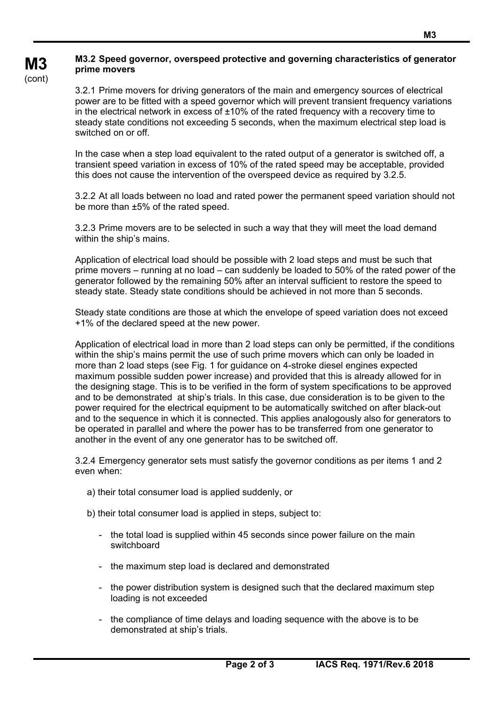## **M3.2 Speed governor, overspeed protective and governing characteristics of generator prime movers**

3.2.1 Prime movers for driving generators of the main and emergency sources of electrical power are to be fitted with a speed governor which will prevent transient frequency variations in the electrical network in excess of  $\pm 10\%$  of the rated frequency with a recovery time to steady state conditions not exceeding 5 seconds, when the maximum electrical step load is switched on or off.

In the case when a step load equivalent to the rated output of a generator is switched off, a transient speed variation in excess of 10% of the rated speed may be acceptable, provided this does not cause the intervention of the overspeed device as required by 3.2.5.

3.2.2 At all loads between no load and rated power the permanent speed variation should not be more than ±5% of the rated speed.

3.2.3 Prime movers are to be selected in such a way that they will meet the load demand within the ship's mains.

Application of electrical load should be possible with 2 load steps and must be such that prime movers – running at no load – can suddenly be loaded to 50% of the rated power of the generator followed by the remaining 50% after an interval sufficient to restore the speed to steady state. Steady state conditions should be achieved in not more than 5 seconds.

Steady state conditions are those at which the envelope of speed variation does not exceed +1% of the declared speed at the new power.

Application of electrical load in more than 2 load steps can only be permitted, if the conditions within the ship's mains permit the use of such prime movers which can only be loaded in more than 2 load steps (see Fig. 1 for guidance on 4-stroke diesel engines expected maximum possible sudden power increase) and provided that this is already allowed for in the designing stage. This is to be verified in the form of system specifications to be approved and to be demonstrated at ship's trials. In this case, due consideration is to be given to the power required for the electrical equipment to be automatically switched on after black-out and to the sequence in which it is connected. This applies analogously also for generators to be operated in parallel and where the power has to be transferred from one generator to another in the event of any one generator has to be switched off.

3.2.4 Emergency generator sets must satisfy the governor conditions as per items 1 and 2 even when:

a) their total consumer load is applied suddenly, or

 $\overline{a}$ 

**M3**  (cont)

- b) their total consumer load is applied in steps, subject to:
	- the total load is supplied within 45 seconds since power failure on the main switchboard
	- the maximum step load is declared and demonstrated
	- the power distribution system is designed such that the declared maximum step loading is not exceeded
	- the compliance of time delays and loading sequence with the above is to be demonstrated at ship's trials.